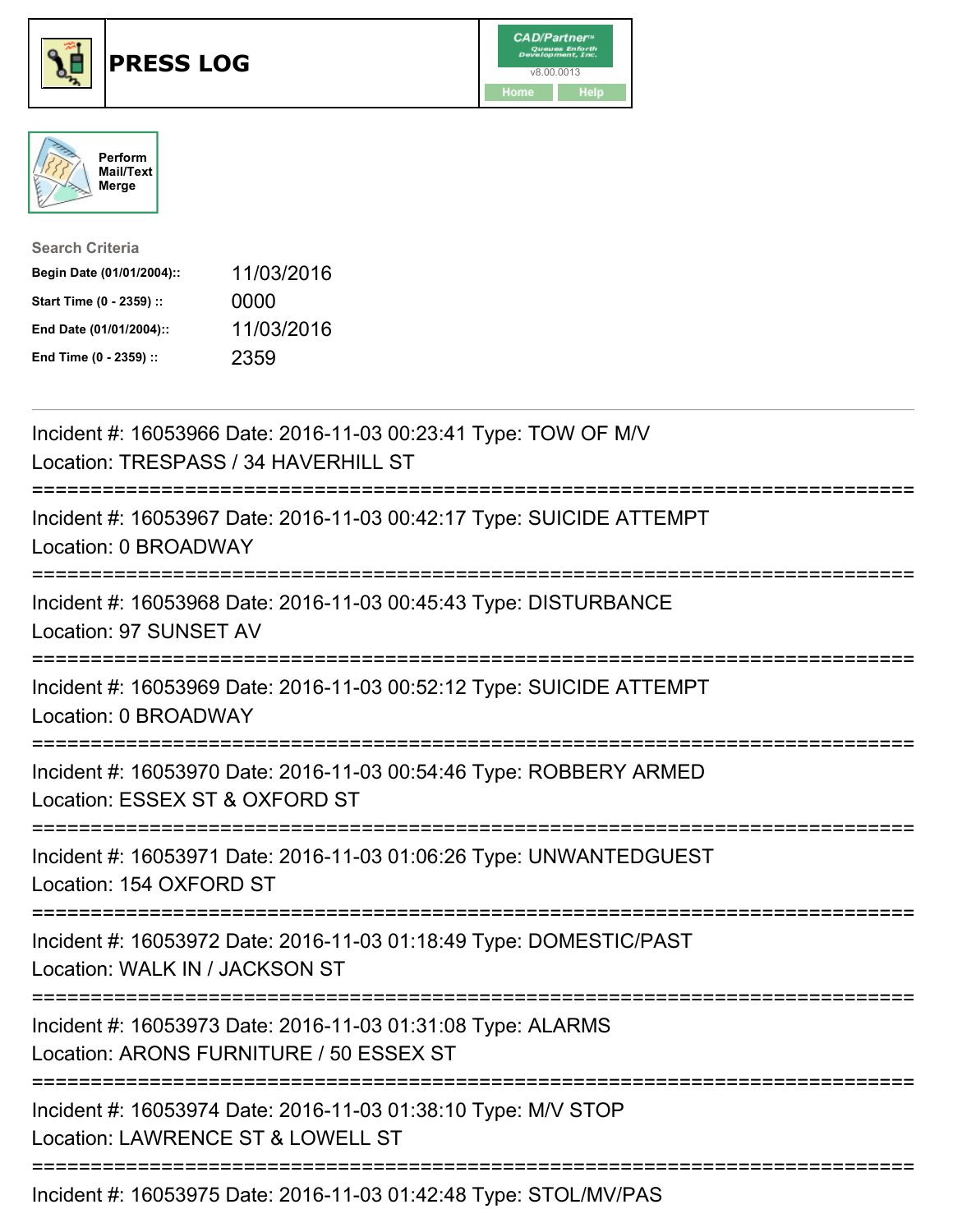





| <b>Search Criteria</b>    |            |
|---------------------------|------------|
| Begin Date (01/01/2004):: | 11/03/2016 |
| Start Time (0 - 2359) ::  | 0000       |
| End Date (01/01/2004)::   | 11/03/2016 |
| End Time (0 - 2359) ::    | 2359       |

| Incident #: 16053966 Date: 2016-11-03 00:23:41 Type: TOW OF M/V<br>Location: TRESPASS / 34 HAVERHILL ST                                              |
|------------------------------------------------------------------------------------------------------------------------------------------------------|
| Incident #: 16053967 Date: 2016-11-03 00:42:17 Type: SUICIDE ATTEMPT<br>Location: 0 BROADWAY                                                         |
| Incident #: 16053968 Date: 2016-11-03 00:45:43 Type: DISTURBANCE<br>Location: 97 SUNSET AV                                                           |
| Incident #: 16053969 Date: 2016-11-03 00:52:12 Type: SUICIDE ATTEMPT<br>Location: 0 BROADWAY<br>-------------------                                  |
| Incident #: 16053970 Date: 2016-11-03 00:54:46 Type: ROBBERY ARMED<br>Location: ESSEX ST & OXFORD ST<br>=============                                |
| Incident #: 16053971 Date: 2016-11-03 01:06:26 Type: UNWANTEDGUEST<br>Location: 154 OXFORD ST                                                        |
| Incident #: 16053972 Date: 2016-11-03 01:18:49 Type: DOMESTIC/PAST<br>Location: WALK IN / JACKSON ST<br>:=======================<br>---------------- |
| Incident #: 16053973 Date: 2016-11-03 01:31:08 Type: ALARMS<br>Location: ARONS FURNITURE / 50 ESSEX ST                                               |
| Incident #: 16053974 Date: 2016-11-03 01:38:10 Type: M/V STOP<br>Location: LAWRENCE ST & LOWELL ST                                                   |
| Incident #: 16053975 Date: 2016-11-03 01:42:48 Type: STOL/MV/PAS                                                                                     |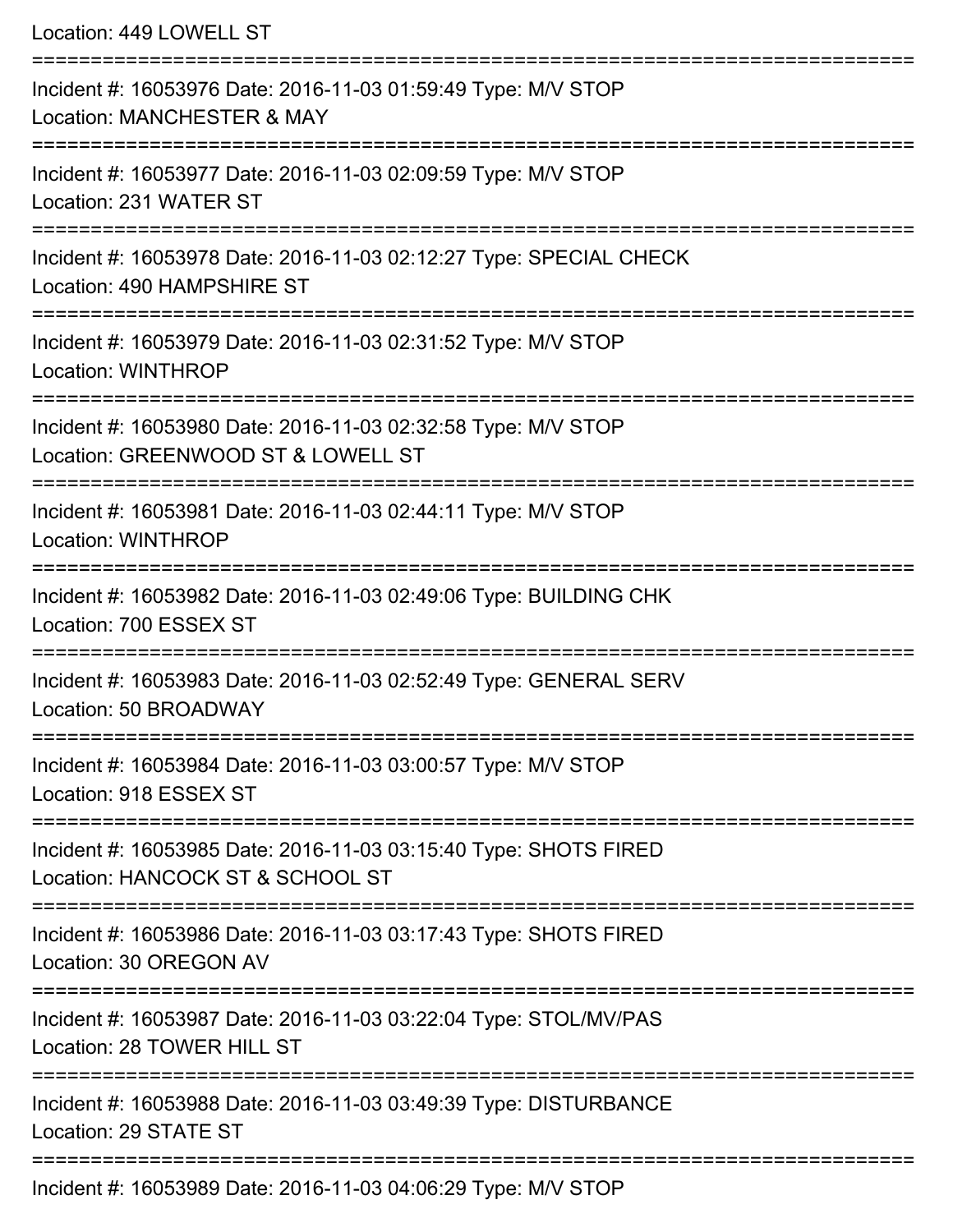| Location: 449 LOWELL ST                                                                                               |
|-----------------------------------------------------------------------------------------------------------------------|
| Incident #: 16053976 Date: 2016-11-03 01:59:49 Type: M/V STOP<br>Location: MANCHESTER & MAY                           |
| Incident #: 16053977 Date: 2016-11-03 02:09:59 Type: M/V STOP<br>Location: 231 WATER ST                               |
| Incident #: 16053978 Date: 2016-11-03 02:12:27 Type: SPECIAL CHECK<br>Location: 490 HAMPSHIRE ST                      |
| Incident #: 16053979 Date: 2016-11-03 02:31:52 Type: M/V STOP<br>Location: WINTHROP<br>------------------------------ |
| Incident #: 16053980 Date: 2016-11-03 02:32:58 Type: M/V STOP<br>Location: GREENWOOD ST & LOWELL ST                   |
| Incident #: 16053981 Date: 2016-11-03 02:44:11 Type: M/V STOP<br><b>Location: WINTHROP</b>                            |
| Incident #: 16053982 Date: 2016-11-03 02:49:06 Type: BUILDING CHK<br>Location: 700 ESSEX ST                           |
| Incident #: 16053983 Date: 2016-11-03 02:52:49 Type: GENERAL SERV<br>Location: 50 BROADWAY                            |
| Incident #: 16053984 Date: 2016-11-03 03:00:57 Type: M/V STOP<br>Location: 918 ESSEX ST                               |
| Incident #: 16053985 Date: 2016-11-03 03:15:40 Type: SHOTS FIRED<br>Location: HANCOCK ST & SCHOOL ST                  |
| Incident #: 16053986 Date: 2016-11-03 03:17:43 Type: SHOTS FIRED<br>Location: 30 OREGON AV                            |
| Incident #: 16053987 Date: 2016-11-03 03:22:04 Type: STOL/MV/PAS<br>Location: 28 TOWER HILL ST                        |
| Incident #: 16053988 Date: 2016-11-03 03:49:39 Type: DISTURBANCE<br>Location: 29 STATE ST                             |
| Incident #: 16053989 Date: 2016-11-03 04:06:29 Type: M/V STOP                                                         |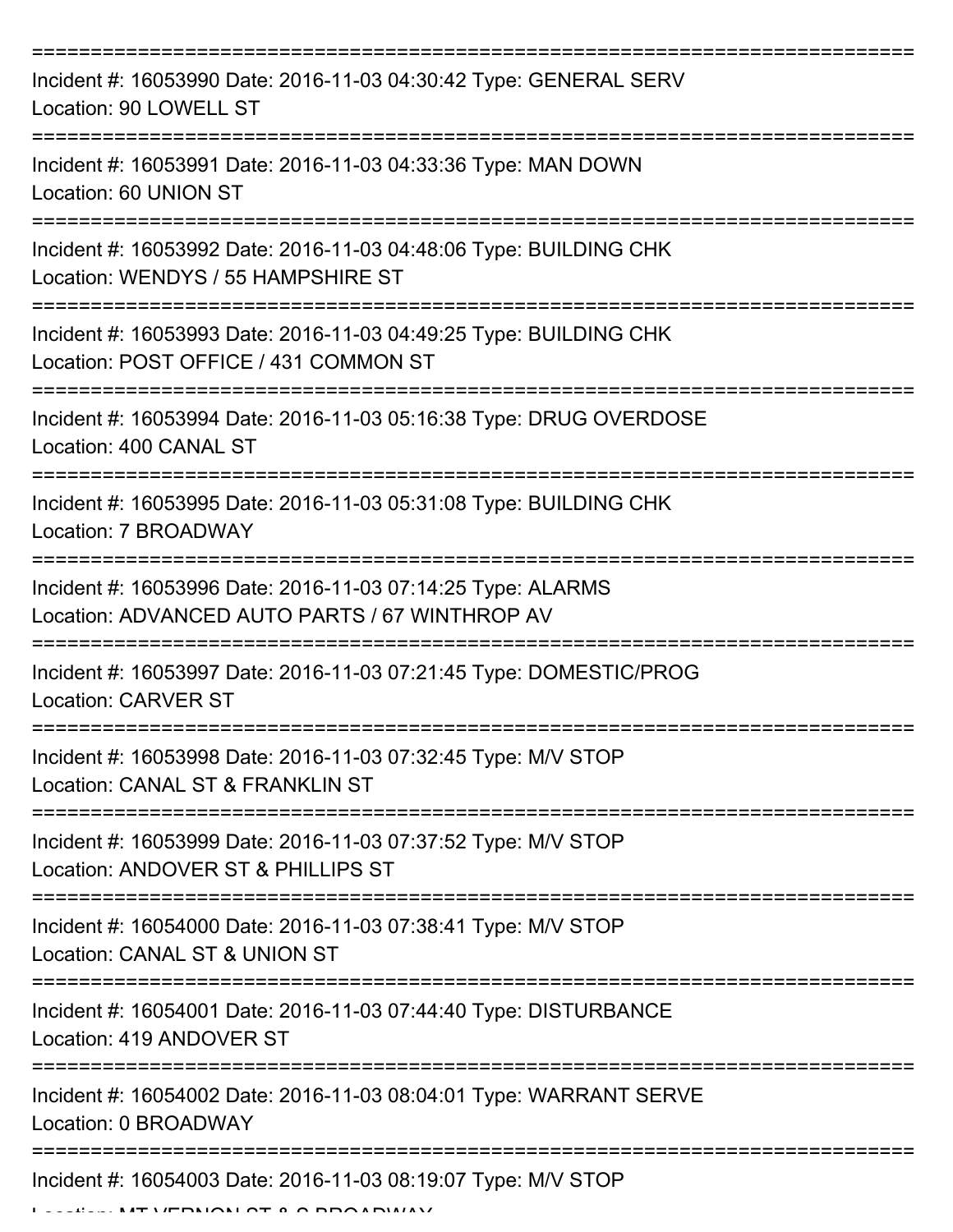| Incident #: 16053990 Date: 2016-11-03 04:30:42 Type: GENERAL SERV<br>Location: 90 LOWELL ST                   |
|---------------------------------------------------------------------------------------------------------------|
| Incident #: 16053991 Date: 2016-11-03 04:33:36 Type: MAN DOWN<br>Location: 60 UNION ST                        |
| Incident #: 16053992 Date: 2016-11-03 04:48:06 Type: BUILDING CHK<br>Location: WENDYS / 55 HAMPSHIRE ST       |
| Incident #: 16053993 Date: 2016-11-03 04:49:25 Type: BUILDING CHK<br>Location: POST OFFICE / 431 COMMON ST    |
| Incident #: 16053994 Date: 2016-11-03 05:16:38 Type: DRUG OVERDOSE<br>Location: 400 CANAL ST                  |
| Incident #: 16053995 Date: 2016-11-03 05:31:08 Type: BUILDING CHK<br>Location: 7 BROADWAY                     |
| Incident #: 16053996 Date: 2016-11-03 07:14:25 Type: ALARMS<br>Location: ADVANCED AUTO PARTS / 67 WINTHROP AV |
| Incident #: 16053997 Date: 2016-11-03 07:21:45 Type: DOMESTIC/PROG<br><b>Location: CARVER ST</b>              |
| Incident #: 16053998 Date: 2016-11-03 07:32:45 Type: M/V STOP<br>Location: CANAL ST & FRANKLIN ST             |
| Incident #: 16053999 Date: 2016-11-03 07:37:52 Type: M/V STOP<br>Location: ANDOVER ST & PHILLIPS ST           |
| Incident #: 16054000 Date: 2016-11-03 07:38:41 Type: M/V STOP<br>Location: CANAL ST & UNION ST                |
| Incident #: 16054001 Date: 2016-11-03 07:44:40 Type: DISTURBANCE<br>Location: 419 ANDOVER ST                  |
| Incident #: 16054002 Date: 2016-11-03 08:04:01 Type: WARRANT SERVE<br>Location: 0 BROADWAY                    |
| Incident #: 16054003 Date: 2016-11-03 08:19:07 Type: M/V STOP                                                 |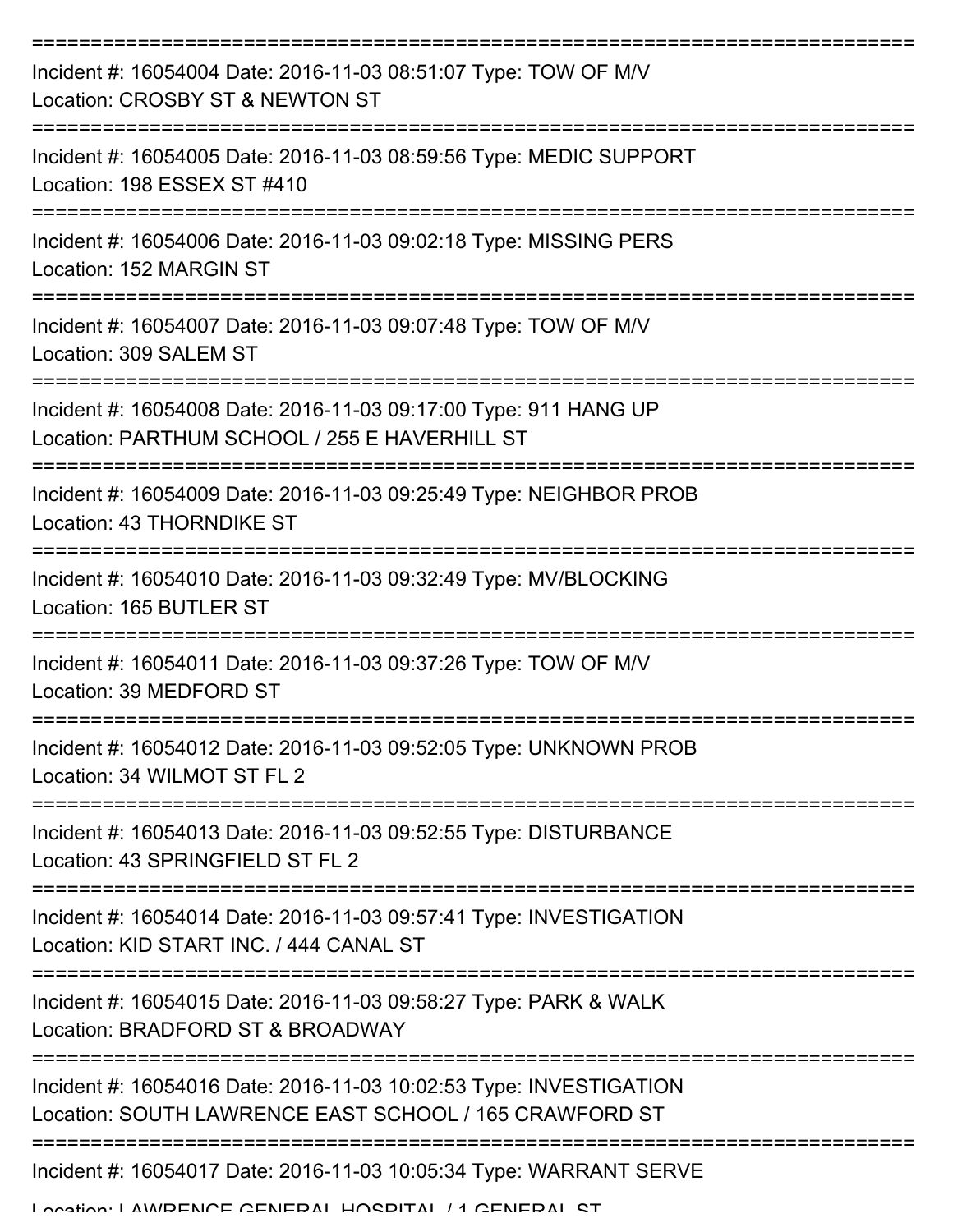| Incident #: 16054004 Date: 2016-11-03 08:51:07 Type: TOW OF M/V<br>Location: CROSBY ST & NEWTON ST                           |
|------------------------------------------------------------------------------------------------------------------------------|
| Incident #: 16054005 Date: 2016-11-03 08:59:56 Type: MEDIC SUPPORT<br>Location: 198 ESSEX ST #410                            |
| Incident #: 16054006 Date: 2016-11-03 09:02:18 Type: MISSING PERS<br>Location: 152 MARGIN ST                                 |
| Incident #: 16054007 Date: 2016-11-03 09:07:48 Type: TOW OF M/V<br>Location: 309 SALEM ST                                    |
| Incident #: 16054008 Date: 2016-11-03 09:17:00 Type: 911 HANG UP<br>Location: PARTHUM SCHOOL / 255 E HAVERHILL ST            |
| Incident #: 16054009 Date: 2016-11-03 09:25:49 Type: NEIGHBOR PROB<br>Location: 43 THORNDIKE ST                              |
| Incident #: 16054010 Date: 2016-11-03 09:32:49 Type: MV/BLOCKING<br>Location: 165 BUTLER ST                                  |
| Incident #: 16054011 Date: 2016-11-03 09:37:26 Type: TOW OF M/V<br>Location: 39 MEDFORD ST                                   |
| Incident #: 16054012 Date: 2016-11-03 09:52:05 Type: UNKNOWN PROB<br>Location: 34 WILMOT ST FL 2                             |
| Incident #: 16054013 Date: 2016-11-03 09:52:55 Type: DISTURBANCE<br>Location: 43 SPRINGFIELD ST FL 2                         |
| Incident #: 16054014 Date: 2016-11-03 09:57:41 Type: INVESTIGATION<br>Location: KID START INC. / 444 CANAL ST                |
| Incident #: 16054015 Date: 2016-11-03 09:58:27 Type: PARK & WALK<br>Location: BRADFORD ST & BROADWAY                         |
| Incident #: 16054016 Date: 2016-11-03 10:02:53 Type: INVESTIGATION<br>Location: SOUTH LAWRENCE EAST SCHOOL / 165 CRAWFORD ST |
| Incident #: 16054017 Date: 2016-11-03 10:05:34 Type: WARRANT SERVE<br>Location: LAMDENICE CENIEDAL HOCDITAL / 1 CENIEDAL CT  |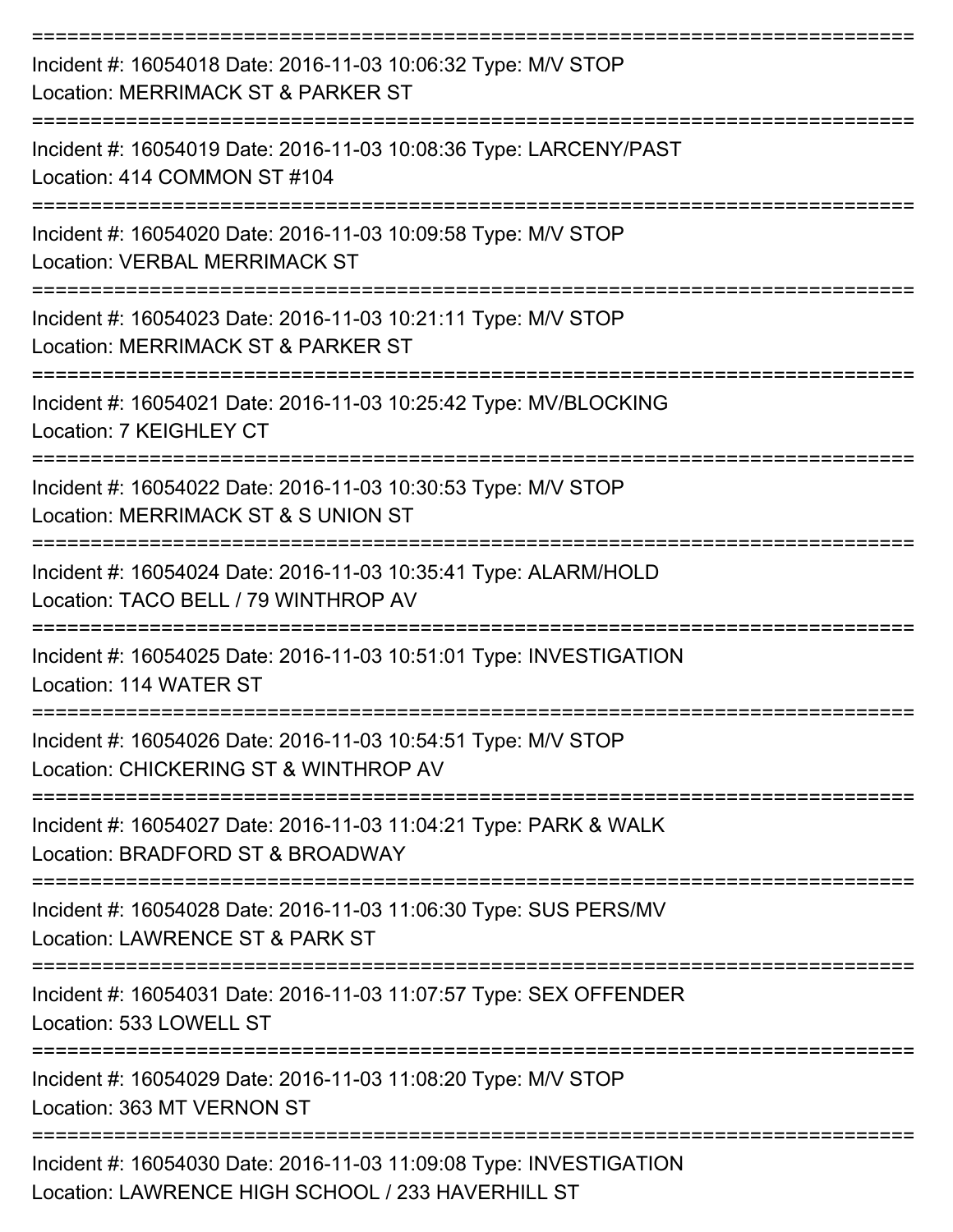| Incident #: 16054018 Date: 2016-11-03 10:06:32 Type: M/V STOP<br>Location: MERRIMACK ST & PARKER ST                     |
|-------------------------------------------------------------------------------------------------------------------------|
| Incident #: 16054019 Date: 2016-11-03 10:08:36 Type: LARCENY/PAST<br>Location: 414 COMMON ST #104                       |
| Incident #: 16054020 Date: 2016-11-03 10:09:58 Type: M/V STOP<br><b>Location: VERBAL MERRIMACK ST</b>                   |
| Incident #: 16054023 Date: 2016-11-03 10:21:11 Type: M/V STOP<br>Location: MERRIMACK ST & PARKER ST                     |
| Incident #: 16054021 Date: 2016-11-03 10:25:42 Type: MV/BLOCKING<br>Location: 7 KEIGHLEY CT                             |
| Incident #: 16054022 Date: 2016-11-03 10:30:53 Type: M/V STOP<br>Location: MERRIMACK ST & S UNION ST                    |
| Incident #: 16054024 Date: 2016-11-03 10:35:41 Type: ALARM/HOLD<br>Location: TACO BELL / 79 WINTHROP AV                 |
| Incident #: 16054025 Date: 2016-11-03 10:51:01 Type: INVESTIGATION<br>Location: 114 WATER ST                            |
| Incident #: 16054026 Date: 2016-11-03 10:54:51 Type: M/V STOP<br>Location: CHICKERING ST & WINTHROP AV                  |
| Incident #: 16054027 Date: 2016-11-03 11:04:21 Type: PARK & WALK<br>Location: BRADFORD ST & BROADWAY                    |
| Incident #: 16054028 Date: 2016-11-03 11:06:30 Type: SUS PERS/MV<br>Location: LAWRENCE ST & PARK ST                     |
| Incident #: 16054031 Date: 2016-11-03 11:07:57 Type: SEX OFFENDER<br>Location: 533 LOWELL ST                            |
| Incident #: 16054029 Date: 2016-11-03 11:08:20 Type: M/V STOP<br>Location: 363 MT VERNON ST                             |
| Incident #: 16054030 Date: 2016-11-03 11:09:08 Type: INVESTIGATION<br>Location: LAWRENCE HIGH SCHOOL / 233 HAVERHILL ST |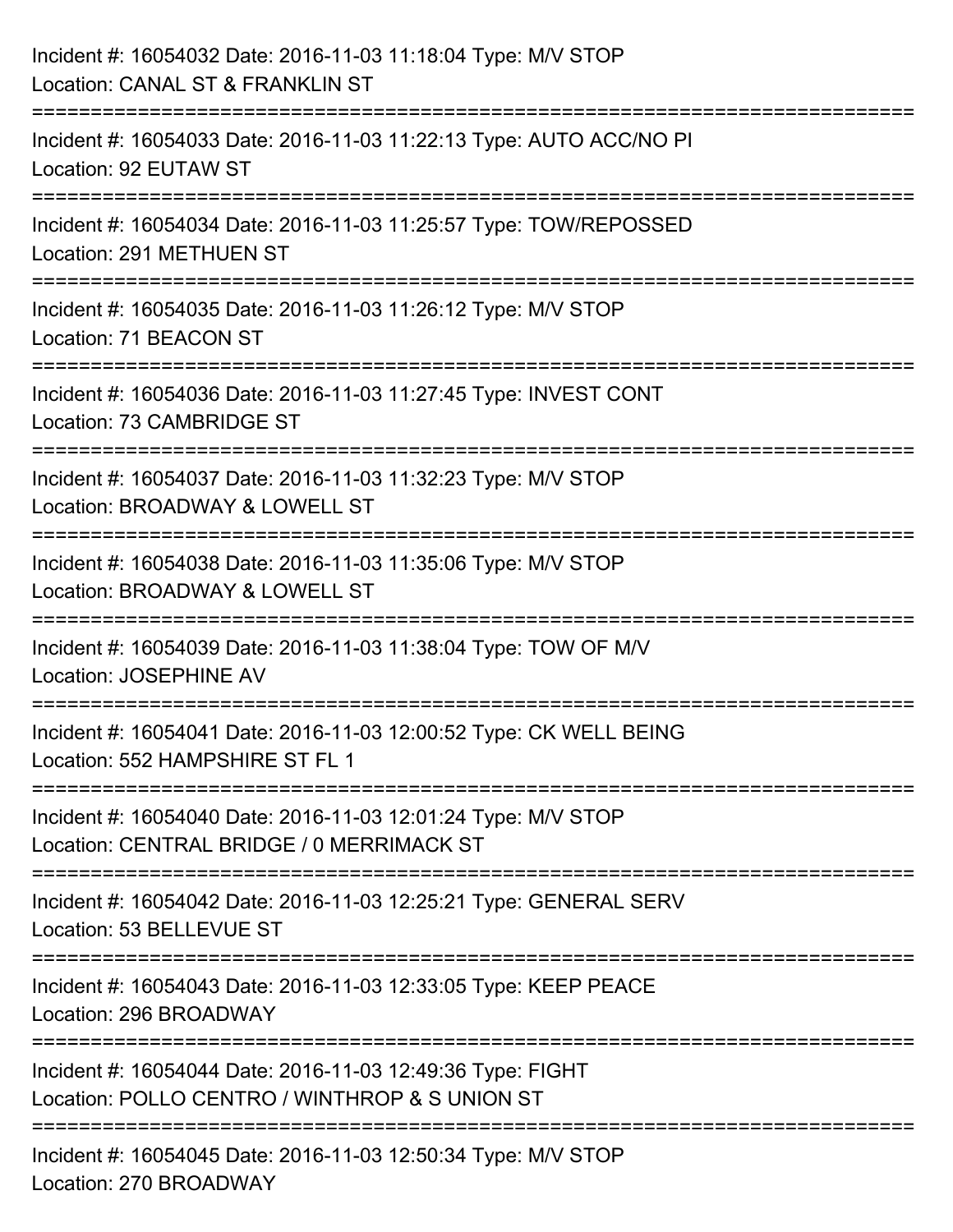| Incident #: 16054032 Date: 2016-11-03 11:18:04 Type: M/V STOP<br>Location: CANAL ST & FRANKLIN ST                                  |
|------------------------------------------------------------------------------------------------------------------------------------|
| :===================<br>Incident #: 16054033 Date: 2016-11-03 11:22:13 Type: AUTO ACC/NO PI<br>Location: 92 EUTAW ST               |
| Incident #: 16054034 Date: 2016-11-03 11:25:57 Type: TOW/REPOSSED<br>Location: 291 METHUEN ST                                      |
| Incident #: 16054035 Date: 2016-11-03 11:26:12 Type: M/V STOP<br>Location: 71 BEACON ST                                            |
| Incident #: 16054036 Date: 2016-11-03 11:27:45 Type: INVEST CONT<br>Location: 73 CAMBRIDGE ST<br>================================= |
| Incident #: 16054037 Date: 2016-11-03 11:32:23 Type: M/V STOP<br>Location: BROADWAY & LOWELL ST                                    |
| Incident #: 16054038 Date: 2016-11-03 11:35:06 Type: M/V STOP<br>Location: BROADWAY & LOWELL ST                                    |
| Incident #: 16054039 Date: 2016-11-03 11:38:04 Type: TOW OF M/V<br><b>Location: JOSEPHINE AV</b>                                   |
| Incident #: 16054041 Date: 2016-11-03 12:00:52 Type: CK WELL BEING<br>Location: 552 HAMPSHIRE ST FL 1                              |
| Incident #: 16054040 Date: 2016-11-03 12:01:24 Type: M/V STOP<br>Location: CENTRAL BRIDGE / 0 MERRIMACK ST                         |
| Incident #: 16054042 Date: 2016-11-03 12:25:21 Type: GENERAL SERV<br>Location: 53 BELLEVUE ST                                      |
| Incident #: 16054043 Date: 2016-11-03 12:33:05 Type: KEEP PEACE<br>Location: 296 BROADWAY                                          |
| Incident #: 16054044 Date: 2016-11-03 12:49:36 Type: FIGHT<br>Location: POLLO CENTRO / WINTHROP & S UNION ST                       |
| Incident #: 16054045 Date: 2016-11-03 12:50:34 Type: M/V STOP<br>Location: 270 BROADWAY                                            |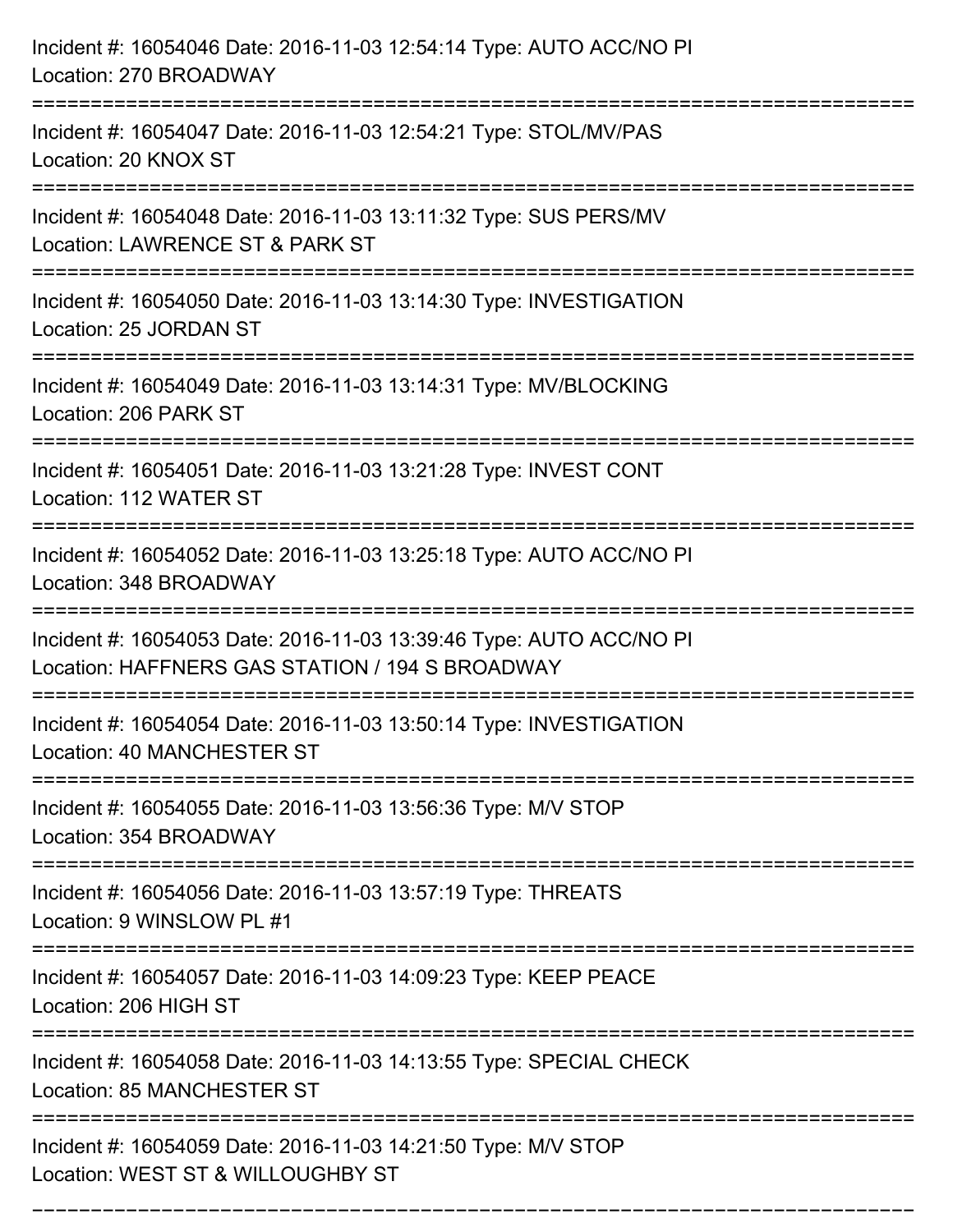| Incident #: 16054046 Date: 2016-11-03 12:54:14 Type: AUTO ACC/NO PI<br>Location: 270 BROADWAY                                     |
|-----------------------------------------------------------------------------------------------------------------------------------|
| Incident #: 16054047 Date: 2016-11-03 12:54:21 Type: STOL/MV/PAS<br>Location: 20 KNOX ST                                          |
| Incident #: 16054048 Date: 2016-11-03 13:11:32 Type: SUS PERS/MV<br>Location: LAWRENCE ST & PARK ST<br>:========================= |
| Incident #: 16054050 Date: 2016-11-03 13:14:30 Type: INVESTIGATION<br>Location: 25 JORDAN ST                                      |
| Incident #: 16054049 Date: 2016-11-03 13:14:31 Type: MV/BLOCKING<br>Location: 206 PARK ST                                         |
| Incident #: 16054051 Date: 2016-11-03 13:21:28 Type: INVEST CONT<br>Location: 112 WATER ST                                        |
| Incident #: 16054052 Date: 2016-11-03 13:25:18 Type: AUTO ACC/NO PI<br>Location: 348 BROADWAY                                     |
| Incident #: 16054053 Date: 2016-11-03 13:39:46 Type: AUTO ACC/NO PI<br>Location: HAFFNERS GAS STATION / 194 S BROADWAY            |
| Incident #: 16054054 Date: 2016-11-03 13:50:14 Type: INVESTIGATION<br>Location: 40 MANCHESTER ST                                  |
| Incident #: 16054055 Date: 2016-11-03 13:56:36 Type: M/V STOP<br>Location: 354 BROADWAY                                           |
| Incident #: 16054056 Date: 2016-11-03 13:57:19 Type: THREATS<br>Location: 9 WINSLOW PL #1                                         |
| Incident #: 16054057 Date: 2016-11-03 14:09:23 Type: KEEP PEACE<br>Location: 206 HIGH ST                                          |
| Incident #: 16054058 Date: 2016-11-03 14:13:55 Type: SPECIAL CHECK<br><b>Location: 85 MANCHESTER ST</b>                           |
| Incident #: 16054059 Date: 2016-11-03 14:21:50 Type: M/V STOP<br>Location: WEST ST & WILLOUGHBY ST                                |

===========================================================================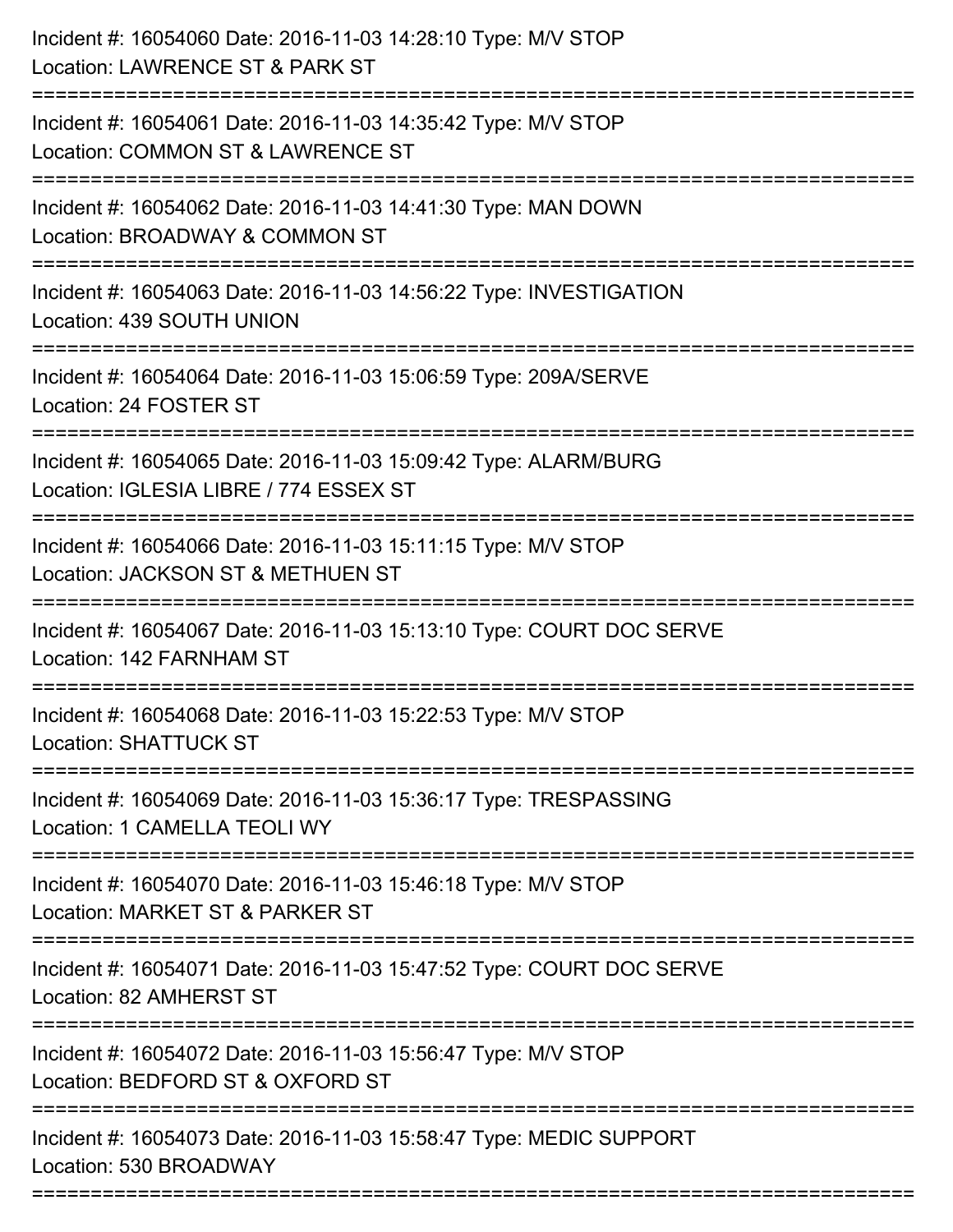| Incident #: 16054060 Date: 2016-11-03 14:28:10 Type: M/V STOP<br>Location: LAWRENCE ST & PARK ST<br>=========================        |
|--------------------------------------------------------------------------------------------------------------------------------------|
| Incident #: 16054061 Date: 2016-11-03 14:35:42 Type: M/V STOP<br>Location: COMMON ST & LAWRENCE ST                                   |
| Incident #: 16054062 Date: 2016-11-03 14:41:30 Type: MAN DOWN<br>Location: BROADWAY & COMMON ST<br>================================= |
| Incident #: 16054063 Date: 2016-11-03 14:56:22 Type: INVESTIGATION<br>Location: 439 SOUTH UNION                                      |
| Incident #: 16054064 Date: 2016-11-03 15:06:59 Type: 209A/SERVE<br>Location: 24 FOSTER ST<br>====================                    |
| Incident #: 16054065 Date: 2016-11-03 15:09:42 Type: ALARM/BURG<br>Location: IGLESIA LIBRE / 774 ESSEX ST                            |
| Incident #: 16054066 Date: 2016-11-03 15:11:15 Type: M/V STOP<br>Location: JACKSON ST & METHUEN ST                                   |
| Incident #: 16054067 Date: 2016-11-03 15:13:10 Type: COURT DOC SERVE<br>Location: 142 FARNHAM ST                                     |
| Incident #: 16054068 Date: 2016-11-03 15:22:53 Type: M/V STOP<br><b>Location: SHATTUCK ST</b>                                        |
| Incident #: 16054069 Date: 2016-11-03 15:36:17 Type: TRESPASSING<br>Location: 1 CAMELLA TEOLI WY                                     |
| Incident #: 16054070 Date: 2016-11-03 15:46:18 Type: M/V STOP<br>Location: MARKET ST & PARKER ST                                     |
| Incident #: 16054071 Date: 2016-11-03 15:47:52 Type: COURT DOC SERVE<br>Location: 82 AMHERST ST                                      |
| Incident #: 16054072 Date: 2016-11-03 15:56:47 Type: M/V STOP<br>Location: BEDFORD ST & OXFORD ST                                    |
| Incident #: 16054073 Date: 2016-11-03 15:58:47 Type: MEDIC SUPPORT<br>Location: 530 BROADWAY                                         |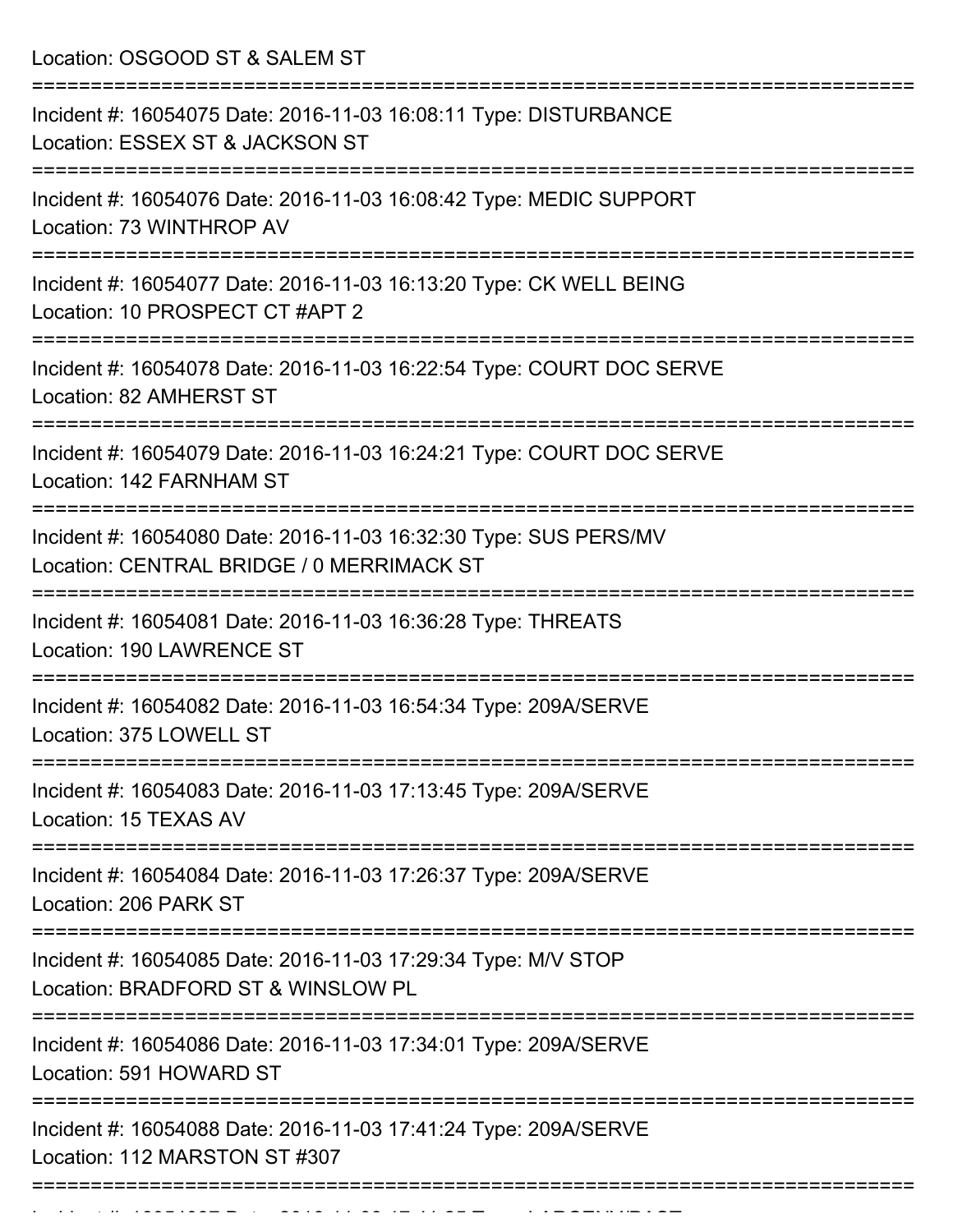Location: OSGOOD ST & SALEM ST

| Incident #: 16054075 Date: 2016-11-03 16:08:11 Type: DISTURBANCE<br>Location: ESSEX ST & JACKSON ST                |
|--------------------------------------------------------------------------------------------------------------------|
| Incident #: 16054076 Date: 2016-11-03 16:08:42 Type: MEDIC SUPPORT<br>Location: 73 WINTHROP AV                     |
| Incident #: 16054077 Date: 2016-11-03 16:13:20 Type: CK WELL BEING<br>Location: 10 PROSPECT CT #APT 2              |
| Incident #: 16054078 Date: 2016-11-03 16:22:54 Type: COURT DOC SERVE<br>Location: 82 AMHERST ST                    |
| Incident #: 16054079 Date: 2016-11-03 16:24:21 Type: COURT DOC SERVE<br>Location: 142 FARNHAM ST                   |
| Incident #: 16054080 Date: 2016-11-03 16:32:30 Type: SUS PERS/MV<br>Location: CENTRAL BRIDGE / 0 MERRIMACK ST      |
| Incident #: 16054081 Date: 2016-11-03 16:36:28 Type: THREATS<br>Location: 190 LAWRENCE ST                          |
| Incident #: 16054082 Date: 2016-11-03 16:54:34 Type: 209A/SERVE<br>Location: 375 LOWELL ST                         |
| Incident #: 16054083 Date: 2016-11-03 17:13:45 Type: 209A/SERVE<br>Location: 15 TEXAS AV                           |
| ======================<br>Incident #: 16054084 Date: 2016-11-03 17:26:37 Type: 209A/SERVE<br>Location: 206 PARK ST |
| Incident #: 16054085 Date: 2016-11-03 17:29:34 Type: M/V STOP<br>Location: BRADFORD ST & WINSLOW PL                |
| Incident #: 16054086 Date: 2016-11-03 17:34:01 Type: 209A/SERVE<br>Location: 591 HOWARD ST                         |
| Incident #: 16054088 Date: 2016-11-03 17:41:24 Type: 209A/SERVE<br>Location: 112 MARSTON ST #307                   |
|                                                                                                                    |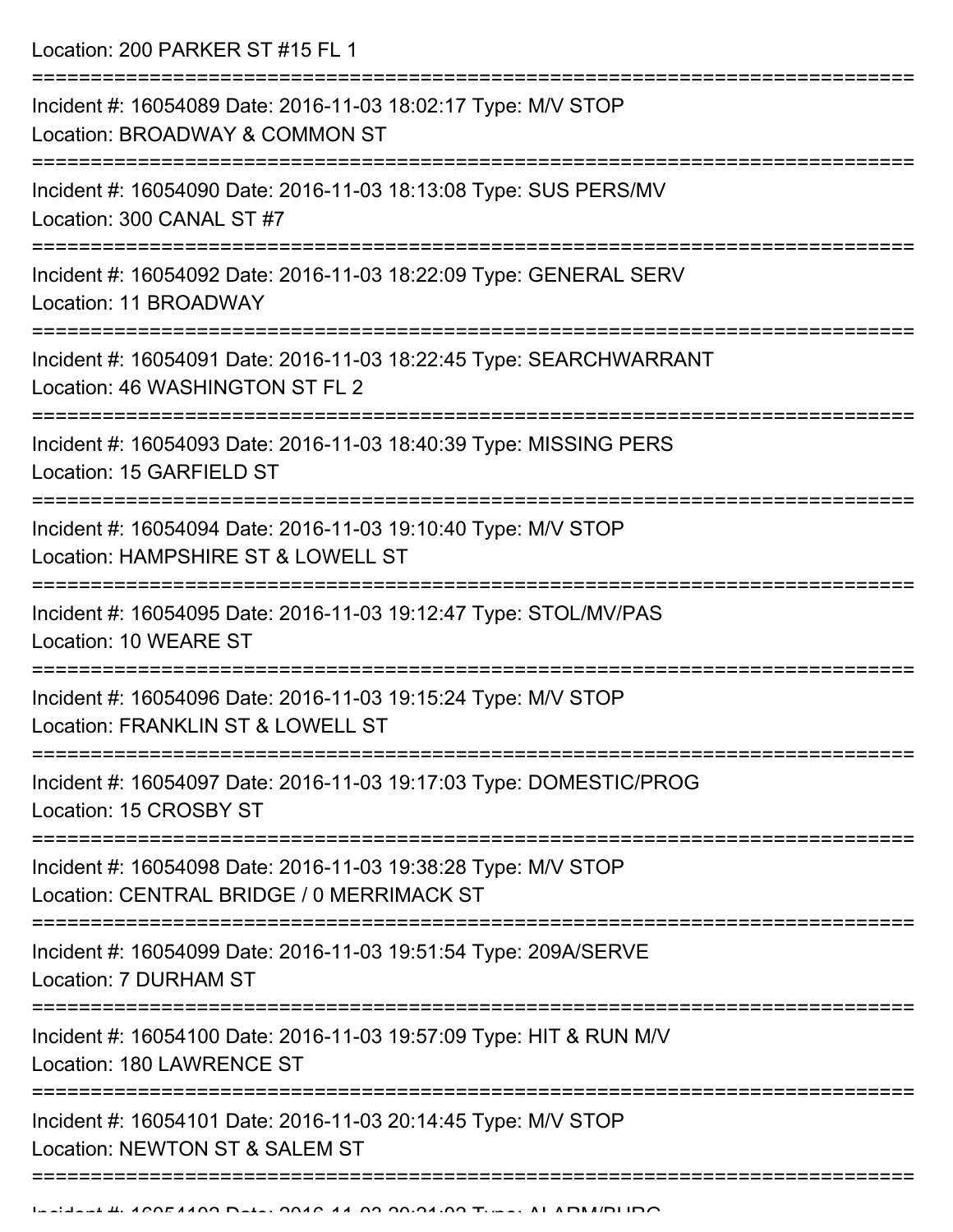Location: 200 PARKER ST #15 FL 1

| Incident #: 16054089 Date: 2016-11-03 18:02:17 Type: M/V STOP<br>Location: BROADWAY & COMMON ST            |
|------------------------------------------------------------------------------------------------------------|
| Incident #: 16054090 Date: 2016-11-03 18:13:08 Type: SUS PERS/MV<br>Location: 300 CANAL ST #7              |
| Incident #: 16054092 Date: 2016-11-03 18:22:09 Type: GENERAL SERV<br>Location: 11 BROADWAY                 |
| Incident #: 16054091 Date: 2016-11-03 18:22:45 Type: SEARCHWARRANT<br>Location: 46 WASHINGTON ST FL 2      |
| Incident #: 16054093 Date: 2016-11-03 18:40:39 Type: MISSING PERS<br>Location: 15 GARFIELD ST              |
| Incident #: 16054094 Date: 2016-11-03 19:10:40 Type: M/V STOP<br>Location: HAMPSHIRE ST & LOWELL ST        |
| Incident #: 16054095 Date: 2016-11-03 19:12:47 Type: STOL/MV/PAS<br>Location: 10 WEARE ST                  |
| Incident #: 16054096 Date: 2016-11-03 19:15:24 Type: M/V STOP<br>Location: FRANKLIN ST & LOWELL ST         |
| Incident #: 16054097 Date: 2016-11-03 19:17:03 Type: DOMESTIC/PROG<br>Location: 15 CROSBY ST               |
| Incident #: 16054098 Date: 2016-11-03 19:38:28 Type: M/V STOP<br>Location: CENTRAL BRIDGE / 0 MERRIMACK ST |
| Incident #: 16054099 Date: 2016-11-03 19:51:54 Type: 209A/SERVE<br>Location: 7 DURHAM ST                   |
| Incident #: 16054100 Date: 2016-11-03 19:57:09 Type: HIT & RUN M/V<br>Location: 180 LAWRENCE ST            |
| Incident #: 16054101 Date: 2016-11-03 20:14:45 Type: M/V STOP<br>Location: NEWTON ST & SALEM ST            |
|                                                                                                            |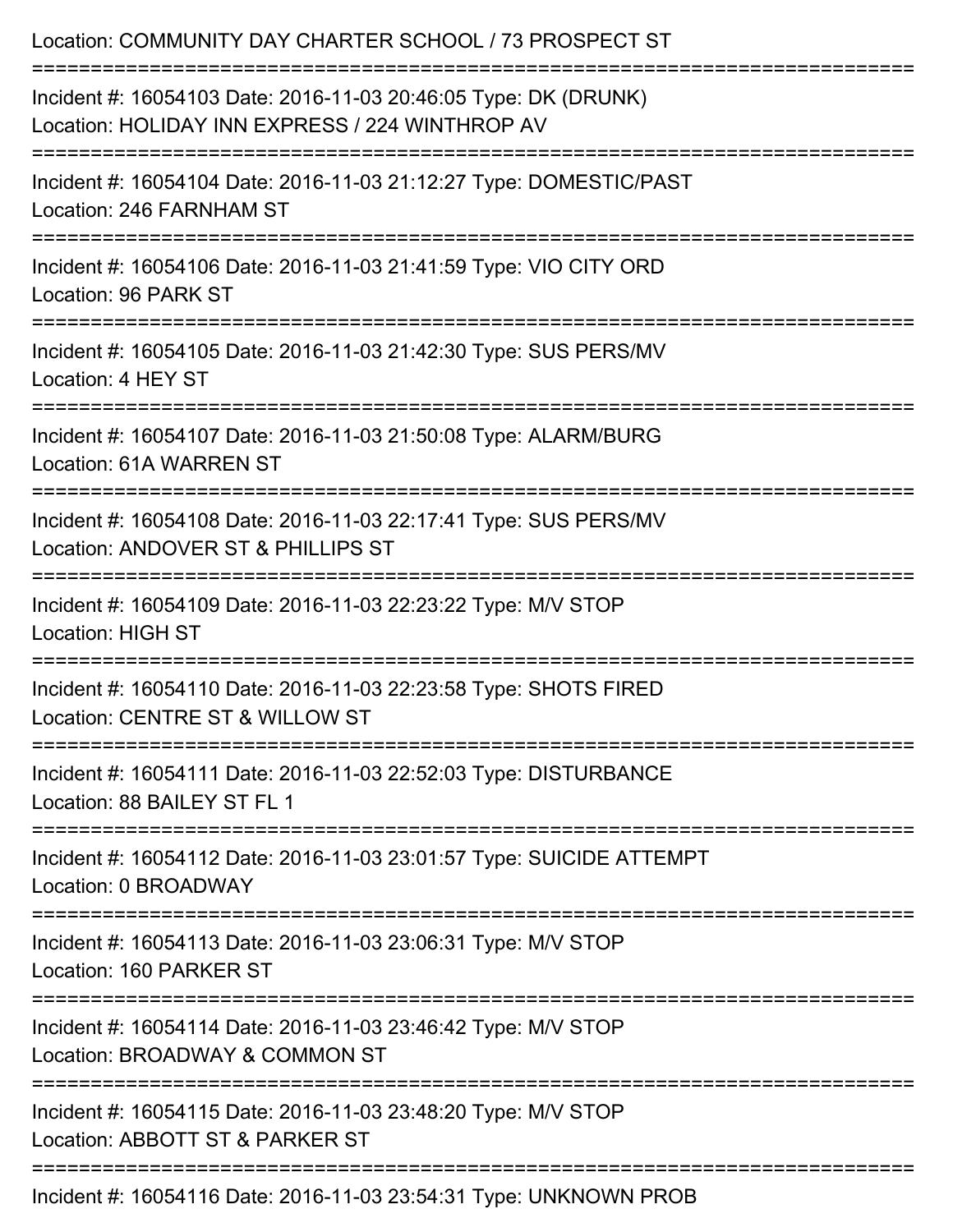| Location: COMMUNITY DAY CHARTER SCHOOL / 73 PROSPECT ST                                                                                     |
|---------------------------------------------------------------------------------------------------------------------------------------------|
| Incident #: 16054103 Date: 2016-11-03 20:46:05 Type: DK (DRUNK)<br>Location: HOLIDAY INN EXPRESS / 224 WINTHROP AV<br>:==================== |
| Incident #: 16054104 Date: 2016-11-03 21:12:27 Type: DOMESTIC/PAST<br>Location: 246 FARNHAM ST                                              |
| Incident #: 16054106 Date: 2016-11-03 21:41:59 Type: VIO CITY ORD<br>Location: 96 PARK ST                                                   |
| Incident #: 16054105 Date: 2016-11-03 21:42:30 Type: SUS PERS/MV<br>Location: 4 HEY ST                                                      |
| Incident #: 16054107 Date: 2016-11-03 21:50:08 Type: ALARM/BURG<br>Location: 61A WARREN ST                                                  |
| Incident #: 16054108 Date: 2016-11-03 22:17:41 Type: SUS PERS/MV<br>Location: ANDOVER ST & PHILLIPS ST                                      |
| Incident #: 16054109 Date: 2016-11-03 22:23:22 Type: M/V STOP<br>Location: HIGH ST                                                          |
| :=================================<br>Incident #: 16054110 Date: 2016-11-03 22:23:58 Type: SHOTS FIRED<br>Location: CENTRE ST & WILLOW ST   |
| ===============================<br>Incident #: 16054111 Date: 2016-11-03 22:52:03 Type: DISTURBANCE<br>Location: 88 BAILEY ST FL 1          |
| Incident #: 16054112 Date: 2016-11-03 23:01:57 Type: SUICIDE ATTEMPT<br>Location: 0 BROADWAY                                                |
| ===================================<br>Incident #: 16054113 Date: 2016-11-03 23:06:31 Type: M/V STOP<br>Location: 160 PARKER ST             |
| Incident #: 16054114 Date: 2016-11-03 23:46:42 Type: M/V STOP<br>Location: BROADWAY & COMMON ST                                             |
| Incident #: 16054115 Date: 2016-11-03 23:48:20 Type: M/V STOP<br>Location: ABBOTT ST & PARKER ST                                            |
| Incident #: 16054116 Date: 2016-11-03 23:54:31 Type: UNKNOWN PROB                                                                           |